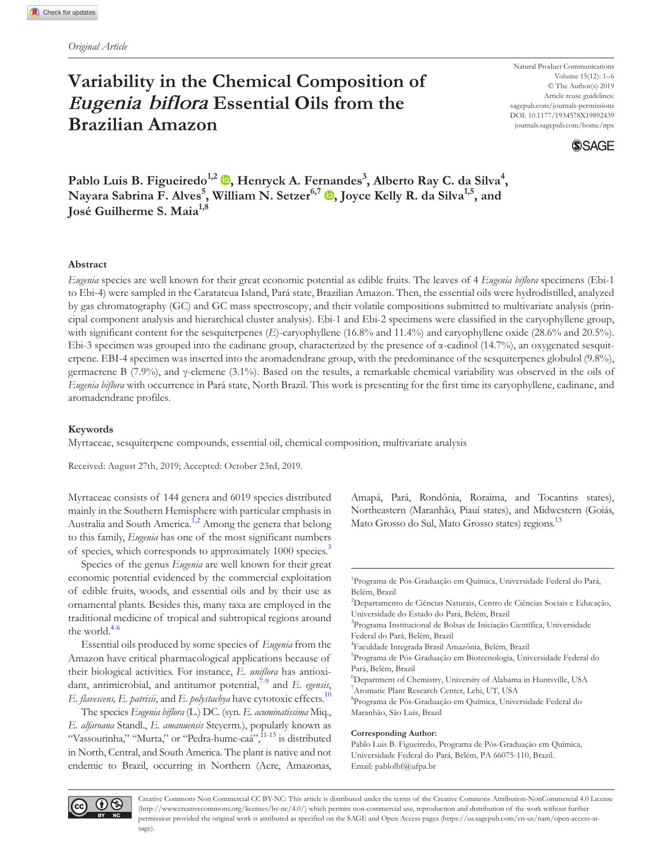# **Variability in the Chemical Composition of**  *Eugenia biflora* **Essential Oils from the Brazilian Amazon**

Natural Product Communications Volume 15(12): 1–6 © The Author(s) 2019 Article reuse guidelines: sagepub.com/journals-permissions DOI: 10.1177/1934578X19892439 [journals.sagepub.com/home/npx](https://journals.sagepub.com/home/npx)



**Pablo Luis B. Figueiredo1,2 , Henryck A. Fer[na](https://orcid.org/0000-0002-3639-0528)ndes3 , Alberto Ray C. da Silva<sup>4</sup> , Nayara Sabrina F. Alves<sup>5</sup> , William N. Setzer6,7 , Joyce Kelly R. da Silva1,5, and José Guilherme S. Maia**<sup>1,8</sup>

### **Abstract**

*Eugenia* species are well known for their great economic potential as edible fruits. The leaves of 4 *Eugenia biflora* specimens (Ebi-1 to Ebi-4) were sampled in the Caratateua Island, Pará state, Brazilian Amazon. Then, the essential oils were hydrodistilled, analyzed by gas chromatography (GC) and GC mass spectroscopy, and their volatile compositions submitted to multivariate analysis (principal component analysis and hierarchical cluster analysis). Ebi-1 and Ebi-2 specimens were classified in the caryophyllene group, with significant content for the sesquiterpenes (*E*)-caryophyllene (16.8% and 11.4%) and caryophyllene oxide (28.6% and 20.5%). Ebi-3 specimen was grouped into the cadinane group, characterized by the presence of  $\alpha$ -cadinol (14.7%), an oxygenated sesquiterpene. EBI-4 specimen was inserted into the aromadendrane group, with the predominance of the sesquiterpenes globulol (9.8%), germacrene B (7.9%), and γ-elemene (3.1%). Based on the results, a remarkable chemical variability was observed in the oils of *Eugenia biflora* with occurrence in Pará state, North Brazil. This work is presenting for the first time its caryophyllene, cadinane, and aromadendrane profiles.

### **Keywords**

Myrtaceae, sesquiterpene compounds, essential oil, chemical composition, multivariate analysis

Received: August 27th, 2019; Accepted: October 23rd, 2019.

Myrtaceae consists of 144 genera and 6019 species distributed mainly in the Southern Hemisphere with particular emphasis in Australia and South America.<sup>1,2</sup> Among the genera that belong to this family, *Eugenia* has one of the most significant numbers of species, which corresponds to approximately 1000 species.<sup>3</sup>

Species of the genus *Eugenia* are well known for their great economic potential evidenced by the commercial exploitation of edible fruits, woods, and essential oils and by their use as ornamental plants. Besides this, many taxa are employed in the traditional medicine of tropical and subtropical regions around the world.<sup>4-6</sup>

Essential oils produced by some species of *Eugenia* from the Amazon have critical pharmacological applications because of their biological activities. For instance, *E. uniflora* has antioxidant, antimicrobial, and antitumor potential, $7-9$  and *E. egensis*, *E. flavescens, E. patrisii,* and *E. polystachya* have cytotoxic effects.<sup>[10](#page-5-4)</sup>

The species *Eugenia biflora* (L.) DC. (syn. *E. acuminatissima* Miq., *E. alfaroana* Standl., *E. amanuensis* Steyerm.), popularly known as "Vassourinha," "Murta," or "Pedra-hume-caá", <sup>11-13</sup> is distributed in North, Central, and South America. The plant is native and not endemic to Brazil, occurring in Northern (Acre, Amazonas, Amapá, Pará, Rondônia, Roraima, and Tocantins states), Northeastern (Maranhão, Piauí states), and Midwestern (Goiás, Mato Grosso do Sul, Mato Grosso states) regions.<sup>13</sup>

2 Departamento de Ciências Naturais, Centro de Ciências Sociais e Educação, Universidade do Estado do Pará, Belém, Brazil

3 Programa Institucional de Bolsas de Iniciação Científica, Universidade Federal do Pará, Belém, Brazil

<sup>5</sup>Programa de Pós-Graduação em Biotecnologia, Universidade Federal do Pará, Belém, Brazil

6 Department of Chemistry, University of Alabama in Huntsville, USA 7 Aromatic Plant Research Center, Lehi, UT, USA

<sup>8</sup>Programa de Pós-Graduação em Química, Universidade Federal do Maranhão, São Luís, Brazil

#### **Corresponding Author:**

Pablo Luis B. Figueiredo, Programa de Pós-Graduação em Química, Universidade Federal do Pará, Belém, PA 66075-110, Brazil. Email: [pablolbf@ufpa.br](mailto:pablolbf@ufpa.br)



Creative Commons Non Commercial CC BY-NC: This article is distributed under the terms of the Creative Commons Attribution-NonCommercial 4.0 License ([http://www.creativecommons.org/licenses/by-nc/4.0/\)](http://www.creativecommons.org/licenses/by-nc/4.0/) which permits non-commercial use, reproduction and distribution of the work without further permission provided the original work is attributed as specified on the SAGE and Open Access pages ([https://us.sagepub.com/en-us/nam/open-access-at](https://us.sagepub.com/en-us/nam/open-access-at-sage)[sage](https://us.sagepub.com/en-us/nam/open-access-at-sage)).

<sup>&</sup>lt;sup>1</sup>Programa de Pós-Graduação em Química, Universidade Federal do Pará, Belém, Brazil

<sup>4</sup> Faculdade Integrada Brasil Amazônia, Belém, Brazil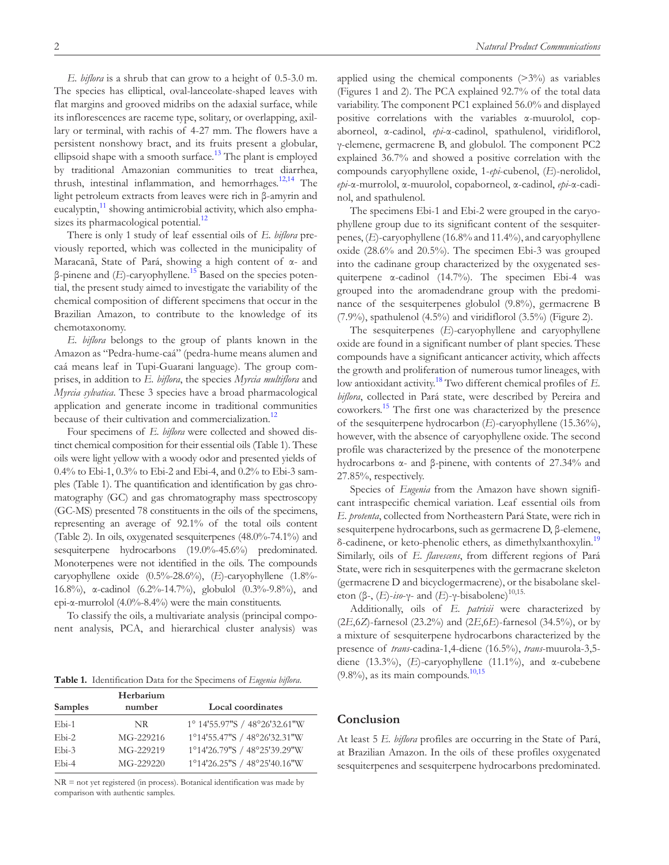*E. biflora* is a shrub that can grow to a height of 0.5-3.0 m. The species has elliptical, oval-lanceolate-shaped leaves with flat margins and grooved midribs on the adaxial surface, while its inflorescences are raceme type, solitary, or overlapping, axillary or terminal, with rachis of 4-27 mm. The flowers have a persistent nonshowy bract, and its fruits present a globular, ellipsoid shape with a smooth surface.<sup>[13](#page-5-6)</sup> The plant is employed by traditional Amazonian communities to treat diarrhea, thrush, intestinal inflammation, and hemorrhages.<sup>[12,14](#page-5-7)</sup> The light petroleum extracts from leaves were rich in β-amyrin and eucalyptin, $\frac{11}{11}$  $\frac{11}{11}$  $\frac{11}{11}$  showing antimicrobial activity, which also emphasizes its pharmacological potential. $^{12}$  $^{12}$  $^{12}$ 

There is only 1 study of leaf essential oils of *E. biflora* previously reported, which was collected in the municipality of Maracanã, State of Pará, showing a high content of α- and β-pinene and (*E*)-caryophyllene.[15](#page-5-8) Based on the species potential, the present study aimed to investigate the variability of the chemical composition of different specimens that occur in the Brazilian Amazon, to contribute to the knowledge of its chemotaxonomy.

*E. biflora* belongs to the group of plants known in the Amazon as "Pedra-hume-caá" (pedra-hume means alumen and caá means leaf in Tupi-Guarani language). The group comprises, in addition to *E. biflora*, the species *Myrcia multiflora* and *Myrcia sylvatica*. These 3 species have a broad pharmacological application and generate income in traditional communities because of their cultivation and commercialization.<sup>[12](#page-5-7)</sup>

Four specimens of *E. biflora* were collected and showed distinct chemical composition for their essential oils [\(Table 1](#page-1-0)). These oils were light yellow with a woody odor and presented yields of 0.4% to Ebi-1, 0.3% to Ebi-2 and Ebi-4, and 0.2% to Ebi-3 samples ([Table 1](#page-1-0)). The quantification and identification by gas chromatography (GC) and gas chromatography mass spectroscopy (GC-MS) presented 78 constituents in the oils of the specimens, representing an average of 92.1% of the total oils content [\(Table 2](#page-2-0)). In oils, oxygenated sesquiterpenes (48.0%-74.1%) and sesquiterpene hydrocarbons (19.0%-45.6%) predominated. Monoterpenes were not identified in the oils. The compounds caryophyllene oxide (0.5%-28.6%), (*E*)-caryophyllene (1.8%- 16.8%), α-cadinol (6.2%-14.7%), globulol (0.3%-9.8%), and epi- $\alpha$ -murrolol (4.0%-8.4%) were the main constituents.

To classify the oils, a multivariate analysis (principal component analysis, PCA, and hierarchical cluster analysis) was

<span id="page-1-0"></span>**Table 1.** Identification Data for the Specimens of *Eugenia biflora*.

| <b>Samples</b> | Herbarium<br>number | <b>Local coordinates</b>      |  |  |
|----------------|---------------------|-------------------------------|--|--|
| Ebi-1          | NR.                 | 1° 14'55.97"S / 48°26'32.61"W |  |  |
| $Eb$ i-2       | MG-229216           | 1°14'55.47"S / 48°26'32.31"W  |  |  |
| $Eb$ i-3       | MG-229219           | 1°14'26.79"S / 48°25'39.29"W  |  |  |
| Ebi-4          | MG-229220           | 1°14'26.25"S / 48°25'40.16"W  |  |  |

NR = not yet registered (in process). Botanical identification was made by comparison with authentic samples.

applied using the chemical components  $(>\frac{3\%}{0})$  as variables ([Figures 1 and 2\)](#page-4-0). The PCA explained 92.7% of the total data variability. The component PC1 explained 56.0% and displayed positive correlations with the variables α-muurolol, copaborneol, α-cadinol, *epi*-α-cadinol, spathulenol, viridiflorol, γ-elemene, germacrene B, and globulol. The component PC2 explained 36.7% and showed a positive correlation with the compounds caryophyllene oxide, 1-*epi*-cubenol, (*E*)-nerolidol, *epi*-α-murrolol, α-muurolol, copaborneol, α-cadinol, *epi*-α-cadinol, and spathulenol.

The specimens Ebi-1 and Ebi-2 were grouped in the caryophyllene group due to its significant content of the sesquiterpenes, (*E*)-caryophyllene (16.8% and 11.4%), and caryophyllene oxide (28.6% and 20.5%). The specimen Ebi-3 was grouped into the cadinane group characterized by the oxygenated sesquiterpene α-cadinol (14.7%). The specimen Ebi-4 was grouped into the aromadendrane group with the predominance of the sesquiterpenes globulol (9.8%), germacrene B (7.9%), spathulenol (4.5%) and viridiflorol (3.5%) ([Figure 2\)](#page-4-1).

The sesquiterpenes (*E*)-caryophyllene and caryophyllene oxide are found in a significant number of plant species. These compounds have a significant anticancer activity, which affects the growth and proliferation of numerous tumor lineages, with low antioxidant activity.[18](#page-5-9) Two different chemical profiles of *E. biflora*, collected in Pará state, were described by Pereira and coworkers.[15](#page-5-8) The first one was characterized by the presence of the sesquiterpene hydrocarbon (*E*)-caryophyllene (15.36%), however, with the absence of caryophyllene oxide. The second profile was characterized by the presence of the monoterpene hydrocarbons α- and β-pinene, with contents of 27.34% and 27.85%, respectively.

Species of *Eugenia* from the Amazon have shown significant intraspecific chemical variation. Leaf essential oils from *E. protenta*, collected from Northeastern Pará State, were rich in sesquiterpene hydrocarbons, such as germacrene D, β-elemene, δ-cadinene, or keto-phenolic ethers, as dimethylxanthoxylin.<sup>[19](#page-5-10)</sup> Similarly, oils of *E. flavescens*, from different regions of Pará State, were rich in sesquiterpenes with the germacrane skeleton (germacrene D and bicyclogermacrene), or the bisabolane skeleton (β-, (*E*)-*iso*-γ- and (*E*)-γ-bisabolene)<sup>10,15.</sup>

Additionally, oils of *E. patrisii* were characterized by (2*E*,6*Z*)-farnesol (23.2%) and (2*E*,6*E*)-farnesol (34.5%), or by a mixture of sesquiterpene hydrocarbons characterized by the presence of *trans*-cadina-1,4-diene (16.5%), *trans*-muurola-3,5 diene (13.3%), (*E*)-caryophyllene (11.1%), and α-cubebene  $(9.8\%)$ , as its main compounds.<sup>[10,15](#page-5-4)</sup>

### **Conclusion**

At least 5 *E. biflora* profiles are occurring in the State of Pará, at Brazilian Amazon. In the oils of these profiles oxygenated sesquiterpenes and sesquiterpene hydrocarbons predominated.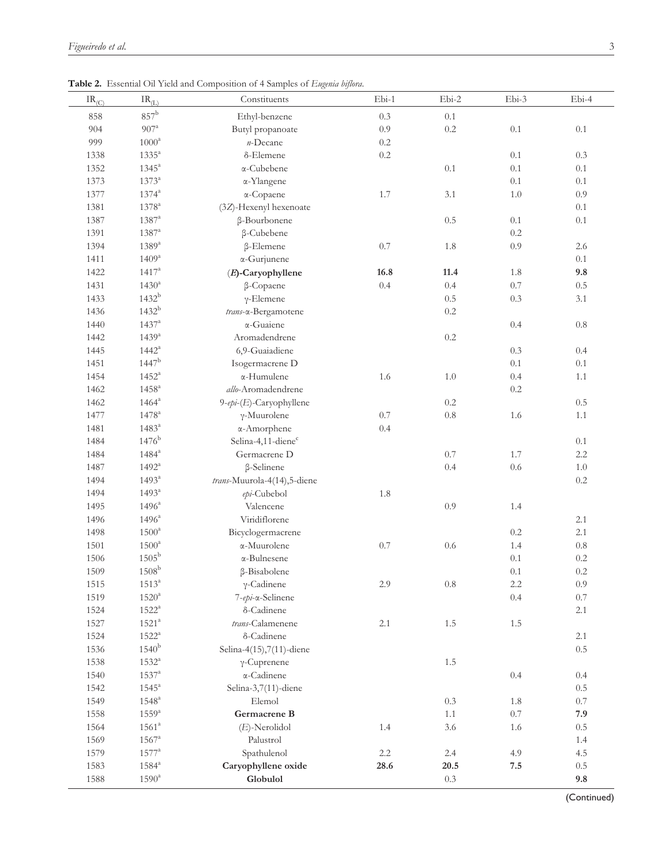| $\text{IR}_{(\underline{C})}$ | $\text{IR}_{(\underline{L})}$ | Constituents                   | $Ebi-1$ | Ebi-2    | Ebi-3   | Ebi-4   |
|-------------------------------|-------------------------------|--------------------------------|---------|----------|---------|---------|
| 858                           | $857^{\rm b}$                 | Ethyl-benzene                  | 0.3     | 0.1      |         |         |
| 904                           | $907^{\rm a}$                 | Butyl propanoate               | 0.9     | $0.2\,$  | 0.1     | 0.1     |
| 999                           | $1000^{\rm a}$                | $n$ -Decane                    | $0.2\,$ |          |         |         |
| 1338                          | $1335^a$                      | δ-Elemene                      | $0.2\,$ |          | 0.1     | 0.3     |
| 1352                          | $1345^a$                      | α-Cubebene                     |         | 0.1      | 0.1     | 0.1     |
| 1373                          | $1373^{\rm a}$                | α-Ylangene                     |         |          | 0.1     | 0.1     |
| 1377                          | $1374^{\rm a}$                | α-Copaene                      | 1.7     | 3.1      | $1.0\,$ | 0.9     |
| 1381                          | $1378^{\mathrm{a}}$           | (3Z)-Hexenyl hexenoate         |         |          |         | 0.1     |
| 1387                          | $1387^{\rm a}$                | β-Bourbonene                   |         | 0.5      | 0.1     | 0.1     |
| 1391                          | $1387^{\rm a}$                | β-Cubebene                     |         |          | 0.2     |         |
| 1394                          | $1389^a$                      | β-Elemene                      | $0.7\,$ | 1.8      | 0.9     | 2.6     |
| 1411                          | $1409^{\mathrm{a}}$           | α-Gurjunene                    |         |          |         | 0.1     |
| 1422                          | $1417^a$                      | $(E)$ -Caryophyllene           | 16.8    | 11.4     | 1.8     | 9.8     |
| 1431                          | $1430^a$                      | β-Copaene                      | 0.4     | 0.4      | 0.7     | $0.5\,$ |
| 1433                          | $1432^{\rm b}$                | $\gamma$ -Elemene              |         | 0.5      | 0.3     | 3.1     |
| 1436                          | $1432^{b}$                    | trans-x-Bergamotene            |         | $0.2\,$  |         |         |
| 1440                          | $1437^{\rm a}$                | $\alpha$ -Guaiene              |         |          | 0.4     | $0.8\,$ |
| 1442                          | $1439^{a}$                    | Aromadendrene                  |         | $0.2\,$  |         |         |
| 1445                          | $1442^{\rm a}$                | 6,9-Guaiadiene                 |         |          | 0.3     | 0.4     |
| 1451                          | $1447^{\rm b}$                | Isogermacrene D                |         |          | 0.1     | 0.1     |
| 1454                          | $1452^{\mathrm{a}}$           | α-Humulene                     | 1.6     | 1.0      | 0.4     | 1.1     |
| 1462                          | $1458$ <sup>a</sup>           | allo-Aromadendrene             |         |          | $0.2\,$ |         |
| 1462                          | $1464^\mathrm{a}$             | $9$ -epi-(E)-Caryophyllene     |         | $0.2\,$  |         | 0.5     |
| 1477                          | $1478^{\rm a}$                | $\gamma$ -Muurolene            | $0.7\,$ | 0.8      | 1.6     | 1.1     |
| 1481                          | $1483^{\circ}$                | α-Amorphene                    | 0.4     |          |         |         |
| 1484                          | $1476^{\rm b}$                | Selina-4,11-diene <sup>c</sup> |         |          |         | 0.1     |
| 1484                          | $1484^{\rm a}$                | Germacrene D                   |         | 0.7      | 1.7     | 2.2     |
| 1487                          | $1492^{\mathrm{a}}$           | $\beta$ -Selinene              |         | 0.4      | 0.6     | $1.0\,$ |
| 1494                          | 1493 <sup>a</sup>             | trans-Muurola-4(14),5-diene    |         |          |         | $0.2\,$ |
| 1494                          | $1493^{\rm a}$                | epi-Cubebol                    | 1.8     |          |         |         |
| 1495                          | $1496^a$                      | Valencene                      |         | 0.9      | 1.4     |         |
| 1496                          | $1496^a$                      | Viridiflorene                  |         |          |         | 2.1     |
| 1498                          | $1500^{\rm a}$                | Bicyclogermacrene              |         |          | $0.2\,$ | 2.1     |
| 1501                          | $1500^a$                      | α-Muurolene                    | $0.7\,$ | 0.6      | 1.4     | $0.8\,$ |
| 1506                          | $1505^{\rm b}$                | $\alpha$ -Bulnesene            |         |          | 0.1     | 0.2     |
| 1509                          | $1508^b$                      | β-Bisabolene                   |         |          | 0.1     | 0.2     |
| 1515                          | $1513^a$                      | $\gamma$ -Cadinene             | $2.9\,$ | $0.8\,$  | $2.2\,$ | 0.9     |
| 1519                          | $1520^{\rm a}$                | 7-epi-a-Selinene               |         |          | 0.4     | $0.7\,$ |
| 1524                          | $1522^{\mathrm{a}}$           | δ-Cadinene                     |         |          |         | $2.1\,$ |
| 1527                          | $1521^{\rm a}$                | trans-Calamenene               | 2.1     | $1.5\,$  | $1.5\,$ |         |
| 1524                          | $1522^{\mathrm{a}}$           | δ-Cadinene                     |         |          |         | $2.1\,$ |
| 1536                          | $1540^{\rm b}$                | Selina-4(15),7(11)-diene       |         |          |         | $0.5\,$ |
| 1538                          | $1532^{\mathrm{a}}$           | $\gamma$ -Cuprenene            |         | 1.5      |         |         |
| 1540                          | $1537^{\rm a}$                | α-Cadinene                     |         |          | 0.4     | 0.4     |
| 1542                          | $1545^{\rm a}$                | Selina-3,7(11)-diene           |         |          |         | $0.5\,$ |
| 1549                          | $1548^{\rm a}$                | Elemol                         |         | 0.3      | $1.8\,$ | $0.7\,$ |
| 1558                          | $1559^{\mathrm{a}}$           | Germacrene B                   |         | 1.1      | $0.7\,$ | 7.9     |
| 1564                          | $1561^a$                      | $(E)$ -Nerolidol               | $1.4\,$ | 3.6      | 1.6     | $0.5\,$ |
| 1569                          | $1567^{\rm a}$                | Palustrol                      |         |          |         | 1.4     |
| 1579                          | $1577^{\rm a}$                | Spathulenol                    | $2.2\,$ | $2.4\,$  | 4.9     | 4.5     |
| 1583                          | $1584^{\rm a}$                | Caryophyllene oxide            | 28.6    | $20.5\,$ | $7.5\,$ | $0.5\,$ |
| 1588                          | $1590^{\mathrm{a}}$           | Globulol                       |         | $0.3\,$  |         | $9.8\,$ |

<span id="page-2-0"></span>**Table 2.** Essential Oil Yield and Composition of 4 Samples of *Eugenia biflora*.

(Continued)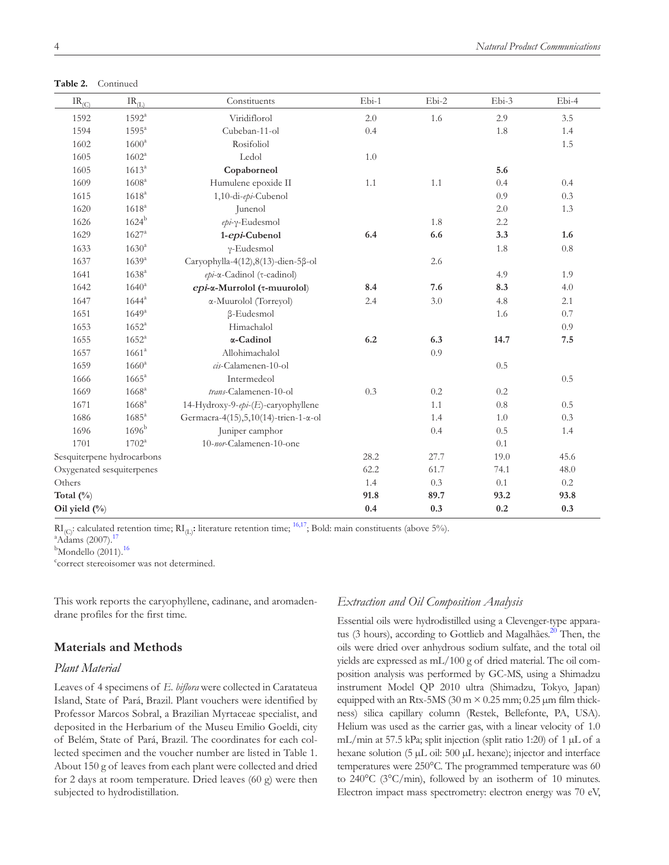**Table 2.** Continued

| $IR_{(C)}$                 | $IR_{(L)}$          | Constituents                           | $Ebi-1$ | Ebi-2 | Ebi-3   | Ebi-4   |
|----------------------------|---------------------|----------------------------------------|---------|-------|---------|---------|
| 1592                       | $1592^{\rm a}$      | Viridiflorol                           | 2.0     | 1.6   | 2.9     | 3.5     |
| 1594                       | $1595^{\mathrm{a}}$ | Cubeban-11-ol                          | 0.4     |       | 1.8     | 1.4     |
| 1602                       | $1600^a$            | Rosifoliol                             |         |       |         | 1.5     |
| 1605                       | $1602^{\rm a}$      | Ledol                                  | 1.0     |       |         |         |
| 1605                       | $1613^{a}$          | Copaborneol                            |         |       | 5.6     |         |
| 1609                       | 1608 <sup>a</sup>   | Humulene epoxide II                    | 1.1     | 1.1   | 0.4     | 0.4     |
| 1615                       | $1618^{a}$          | 1,10-di-epi-Cubenol                    |         |       | 0.9     | 0.3     |
| 1620                       | $1618^{a}$          | Junenol                                |         |       | 2.0     | 1.3     |
| 1626                       | $1624^{\rm b}$      | epi-γ-Eudesmol                         |         | 1.8   | 2.2     |         |
| 1629                       | $1627^{\rm a}$      | 1-epi-Cubenol                          | 6.4     | 6.6   | 3.3     | 1.6     |
| 1633                       | $1630^{a}$          | $\gamma$ -Eudesmol                     |         |       | 1.8     | $0.8\,$ |
| 1637                       | 1639 <sup>a</sup>   | Caryophylla-4(12),8(13)-dien-5β-ol     |         | 2.6   |         |         |
| 1641                       | 1638 <sup>a</sup>   | epi-α-Cadinol (τ-cadinol)              |         |       | 4.9     | 1.9     |
| 1642                       | $1640^{\rm a}$      | epi-α-Murrolol (τ-muurolol)            | 8.4     | 7.6   | 8.3     | 4.0     |
| 1647                       | $1644^{\rm a}$      | α-Muurolol (Torreyol)                  | 2.4     | 3.0   | 4.8     | 2.1     |
| 1651                       | $1649^{a}$          | $\beta$ -Eudesmol                      |         |       | 1.6     | 0.7     |
| 1653                       | $1652^{\mathrm{a}}$ | Himachalol                             |         |       |         | 0.9     |
| 1655                       | $1652^{\rm a}$      | α-Cadinol                              | 6.2     | 6.3   | 14.7    | 7.5     |
| 1657                       | 1661 <sup>a</sup>   | Allohimachalol                         |         | 0.9   |         |         |
| 1659                       | $1660^{\rm a}$      | cis-Calamenen-10-ol                    |         |       | 0.5     |         |
| 1666                       | $1665^{\rm a}$      | Intermedeol                            |         |       |         | 0.5     |
| 1669                       | $1668^{\rm a}$      | trans-Calamenen-10-ol                  | 0.3     | 0.2   | 0.2     |         |
| 1671                       | $1668^{\rm a}$      | 14-Hydroxy-9-epi-(E)-caryophyllene     |         | 1.1   | $0.8\,$ | 0.5     |
| 1686                       | $1685^{\rm a}$      | Germacra-4(15), 5, 10(14)-trien-1-α-ol |         | 1.4   | 1.0     | 0.3     |
| 1696                       | 1696 <sup>b</sup>   | Juniper camphor                        |         | 0.4   | 0.5     | 1.4     |
| 1701                       | $1702^a$            | 10-nor-Calamenen-10-one                |         |       | 0.1     |         |
| Sesquiterpene hydrocarbons |                     | 28.2                                   | 27.7    | 19.0  | 45.6    |         |
| Oxygenated sesquiterpenes  |                     | 62.2                                   | 61.7    | 74.1  | 48.0    |         |
| Others                     |                     |                                        | 1.4     | 0.3   | 0.1     | 0.2     |
| Total $(\%)$               |                     |                                        | 91.8    | 89.7  | 93.2    | 93.8    |
| Oil yield $(\%$            |                     | 0.4                                    | 0.3     | 0.2   | 0.3     |         |

 $\text{RI}_{\text{(C)}}$ : calculated retention time;  $\text{RI}_{\text{(L)}}$ : literature retention time; <sup>16,17</sup>; Bold: main constituents (above 5%).

 $^{a}$ Adams (2007).<sup>1</sup>

 $b$ Mondello (2011).<sup>[16](#page-5-12)</sup>

c correct stereoisomer was not determined.

This work reports the caryophyllene, cadinane, and aromadendrane profiles for the first time.

## **Materials and Methods**

## *Plant Material*

Leaves of 4 specimens of *E. biflora* were collected in Caratateua Island, State of Pará, Brazil. Plant vouchers were identified by Professor Marcos Sobral, a Brazilian Myrtaceae specialist, and deposited in the Herbarium of the Museu Emilio Goeldi, city of Belém, State of Pará, Brazil. The coordinates for each collected specimen and the voucher number are listed in [Table 1](#page-1-0). About 150 g of leaves from each plant were collected and dried for 2 days at room temperature. Dried leaves (60 g) were then subjected to hydrodistillation.

#### *Extraction and Oil Composition Analysis*

Essential oils were hydrodistilled using a Clevenger-type apparatus (3 hours), according to Gottlieb and Magalhães.<sup>20</sup> Then, the oils were dried over anhydrous sodium sulfate, and the total oil yields are expressed as mL/100 g of dried material. The oil composition analysis was performed by GC-MS, using a Shimadzu instrument Model QP 2010 ultra (Shimadzu, Tokyo, Japan) equipped with an Rtx-5MS (30 m  $\times$  0.25 mm; 0.25 µm film thickness) silica capillary column (Restek, Bellefonte, PA, USA). Helium was used as the carrier gas, with a linear velocity of 1.0 mL/min at 57.5 kPa; split injection (split ratio 1:20) of 1  $\mu$ L of a hexane solution (5 µL oil: 500 µL hexane); injector and interface temperatures were 250°C. The programmed temperature was 60 to 240°C (3°C/min), followed by an isotherm of 10 minutes. Electron impact mass spectrometry: electron energy was 70 eV,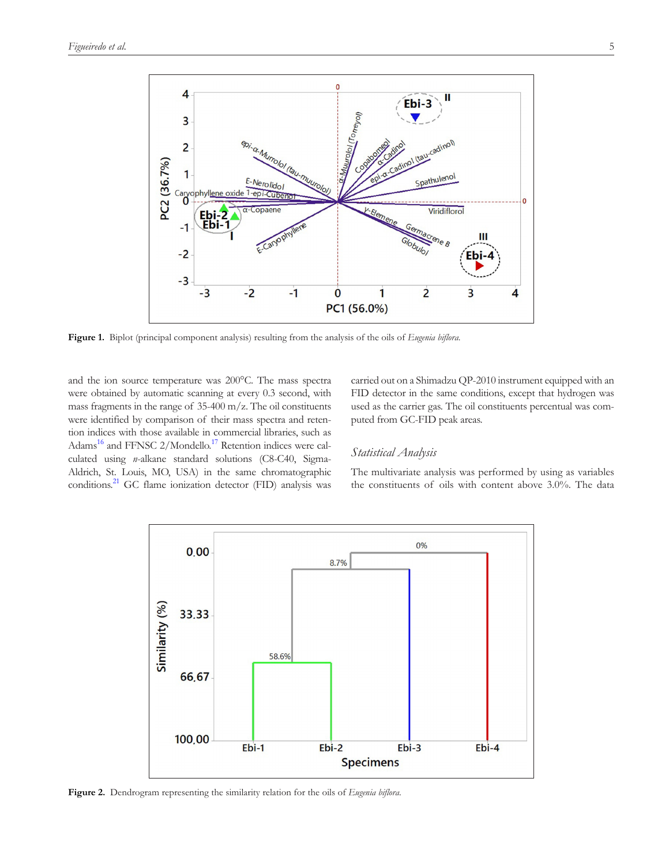

**Figure 1.** Biplot (principal component analysis) resulting from the analysis of the oils of *Eugenia biflora.*

and the ion source temperature was 200°C. The mass spectra were obtained by automatic scanning at every 0.3 second, with mass fragments in the range of 35-400 m/z. The oil constituents were identified by comparison of their mass spectra and retention indices with those available in commercial libraries, such as Adams<sup>16</sup> and FFNSC 2/Mondello.<sup>17</sup> Retention indices were calculated using *n*-alkane standard solutions (C8-C40, Sigma-Aldrich, St. Louis, MO, USA) in the same chromatographic conditions.<sup>21</sup> GC flame ionization detector (FID) analysis was

<span id="page-4-0"></span>carried out on a Shimadzu QP-2010 instrument equipped with an FID detector in the same conditions, except that hydrogen was used as the carrier gas. The oil constituents percentual was computed from GC-FID peak areas.

## *Statistical Analysis*

The multivariate analysis was performed by using as variables the constituents of oils with content above 3.0%. The data



<span id="page-4-1"></span>**Figure 2.** Dendrogram representing the similarity relation for the oils of *Eugenia biflora.*